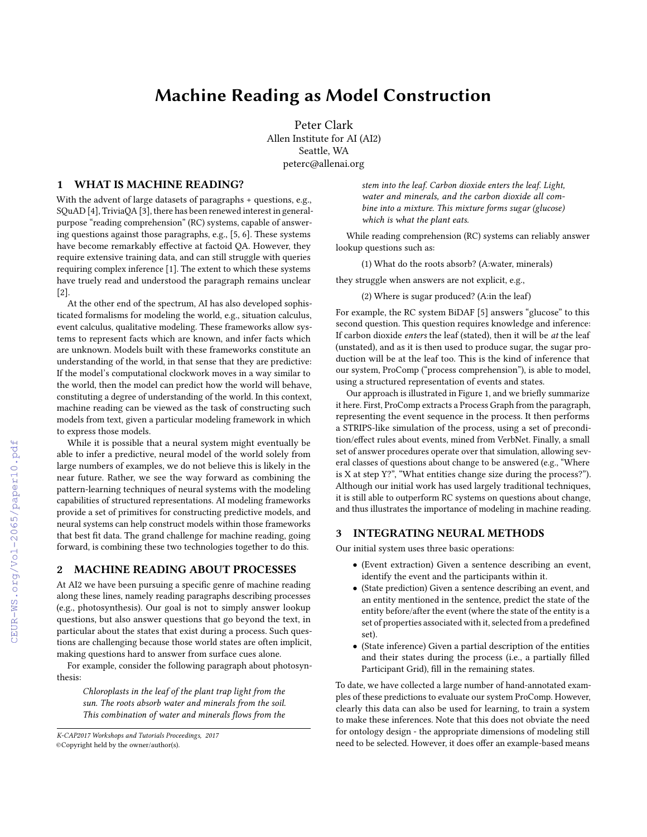# Machine Reading as Model Construction

Peter Clark Allen Institute for AI (AI2) Seattle, WA peterc@allenai.org

#### 1 WHAT IS MACHINE READING?

With the advent of large datasets of paragraphs + questions, e.g., SQuAD [\[4\]](#page--1-0), TriviaQA [\[3\]](#page--1-1), there has been renewed interest in generalpurpose "reading comprehension" (RC) systems, capable of answering questions against those paragraphs, e.g., [\[5,](#page--1-2) [6\]](#page--1-3). These systems have become remarkably effective at factoid QA. However, they require extensive training data, and can still struggle with queries requiring complex inference [\[1\]](#page--1-4). The extent to which these systems have truely read and understood the paragraph remains unclear [\[2\]](#page--1-5).

At the other end of the spectrum, AI has also developed sophisticated formalisms for modeling the world, e.g., situation calculus, event calculus, qualitative modeling. These frameworks allow systems to represent facts which are known, and infer facts which are unknown. Models built with these frameworks constitute an understanding of the world, in that sense that they are predictive: If the model's computational clockwork moves in a way similar to the world, then the model can predict how the world will behave, constituting a degree of understanding of the world. In this context, machine reading can be viewed as the task of constructing such models from text, given a particular modeling framework in which to express those models.

While it is possible that a neural system might eventually be able to infer a predictive, neural model of the world solely from large numbers of examples, we do not believe this is likely in the near future. Rather, we see the way forward as combining the pattern-learning techniques of neural systems with the modeling capabilities of structured representations. AI modeling frameworks provide a set of primitives for constructing predictive models, and neural systems can help construct models within those frameworks that best fit data. The grand challenge for machine reading, going forward, is combining these two technologies together to do this.

# 2 MACHINE READING ABOUT PROCESSES

At AI2 we have been pursuing a specific genre of machine reading along these lines, namely reading paragraphs describing processes (e.g., photosynthesis). Our goal is not to simply answer lookup questions, but also answer questions that go beyond the text, in particular about the states that exist during a process. Such questions are challenging because those world states are often implicit, making questions hard to answer from surface cues alone.

For example, consider the following paragraph about photosynthesis:

Chloroplasts in the leaf of the plant trap light from the sun. The roots absorb water and minerals from the soil. This combination of water and minerals flows from the stem into the leaf. Carbon dioxide enters the leaf. Light, water and minerals, and the carbon dioxide all combine into a mixture. This mixture forms sugar (glucose) which is what the plant eats.

While reading comprehension (RC) systems can reliably answer lookup questions such as:

(1) What do the roots absorb? (A:water, minerals)

they struggle when answers are not explicit, e.g.,

(2) Where is sugar produced? (A:in the leaf)

For example, the RC system BiDAF [\[5\]](#page--1-2) answers "glucose" to this second question. This question requires knowledge and inference: If carbon dioxide enters the leaf (stated), then it will be at the leaf (unstated), and as it is then used to produce sugar, the sugar production will be at the leaf too. This is the kind of inference that our system, ProComp ("process comprehension"), is able to model, using a structured representation of events and states.

Our approach is illustrated in Figure [1,](#page--1-6) and we briefly summarize it here. First, ProComp extracts a Process Graph from the paragraph, representing the event sequence in the process. It then performs a STRIPS-like simulation of the process, using a set of precondition/effect rules about events, mined from VerbNet. Finally, a small set of answer procedures operate over that simulation, allowing several classes of questions about change to be answered (e.g., "Where is X at step Y?", "What entities change size during the process?"). Although our initial work has used largely traditional techniques, it is still able to outperform RC systems on questions about change, and thus illustrates the importance of modeling in machine reading.

### 3 INTEGRATING NEURAL METHODS

Our initial system uses three basic operations:

- (Event extraction) Given a sentence describing an event, identify the event and the participants within it.
- (State prediction) Given a sentence describing an event, and an entity mentioned in the sentence, predict the state of the entity before/after the event (where the state of the entity is a set of properties associated with it, selected from a predefined set).
- (State inference) Given a partial description of the entities and their states during the process (i.e., a partially filled Participant Grid), fill in the remaining states.

To date, we have collected a large number of hand-annotated examples of these predictions to evaluate our system ProComp. However, clearly this data can also be used for learning, to train a system to make these inferences. Note that this does not obviate the need for ontology design - the appropriate dimensions of modeling still need to be selected. However, it does offer an example-based means

K-CAP2017 Workshops and Tutorials Proceedings, 2017 ©Copyright held by the owner/author(s).